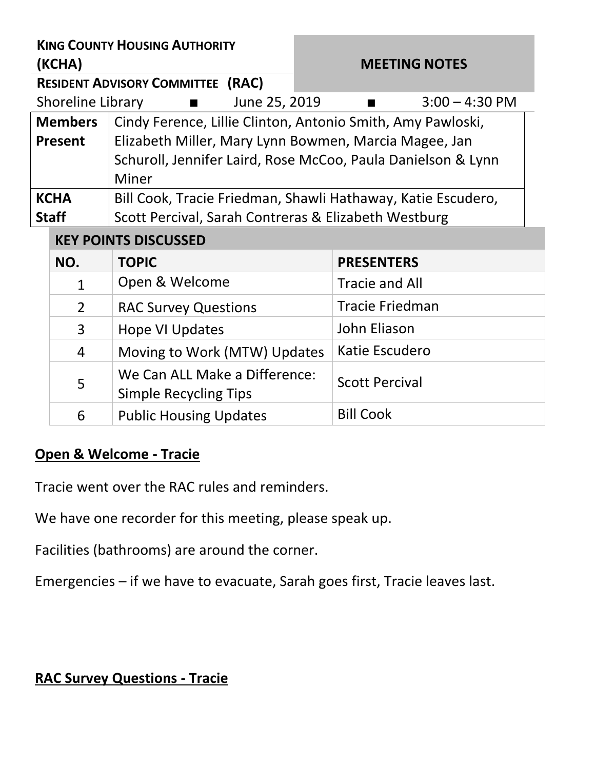|                   | (KCHA)                      | <b>KING COUNTY HOUSING AUTHORITY</b><br><b>RESIDENT ADVISORY COMMITTEE (RAC)</b> | <b>MEETING NOTES</b>               |
|-------------------|-----------------------------|----------------------------------------------------------------------------------|------------------------------------|
| Shoreline Library |                             | <b>Contract Contract Contract</b><br>June 25, 2019                               | $3:00 - 4:30$ PM<br>$\blacksquare$ |
| <b>Members</b>    |                             | Cindy Ference, Lillie Clinton, Antonio Smith, Amy Pawloski,                      |                                    |
| Present           |                             | Elizabeth Miller, Mary Lynn Bowmen, Marcia Magee, Jan                            |                                    |
|                   |                             | Schuroll, Jennifer Laird, Rose McCoo, Paula Danielson & Lynn<br><b>Miner</b>     |                                    |
| <b>KCHA</b>       |                             | Bill Cook, Tracie Friedman, Shawli Hathaway, Katie Escudero,                     |                                    |
| <b>Staff</b>      |                             | Scott Percival, Sarah Contreras & Elizabeth Westburg                             |                                    |
|                   | <b>KEY POINTS DISCUSSED</b> |                                                                                  |                                    |
|                   | NO.                         | <b>TOPIC</b>                                                                     | <b>PRESENTERS</b>                  |
|                   | $\mathbf{1}$                | Open & Welcome                                                                   | <b>Tracie and All</b>              |
|                   | $\overline{2}$              | <b>RAC Survey Questions</b>                                                      | <b>Tracie Friedman</b>             |
|                   | 3                           | <b>Hope VI Updates</b>                                                           | John Eliason                       |
|                   | 4                           | Moving to Work (MTW) Updates                                                     | Katie Escudero                     |
|                   | 5                           | We Can ALL Make a Difference:<br><b>Simple Recycling Tips</b>                    | <b>Scott Percival</b>              |
|                   | 6                           | <b>Public Housing Updates</b>                                                    | <b>Bill Cook</b>                   |

### **Open & Welcome - Tracie**

Tracie went over the RAC rules and reminders.

We have one recorder for this meeting, please speak up.

Facilities (bathrooms) are around the corner.

Emergencies – if we have to evacuate, Sarah goes first, Tracie leaves last.

#### **RAC Survey Questions - Tracie**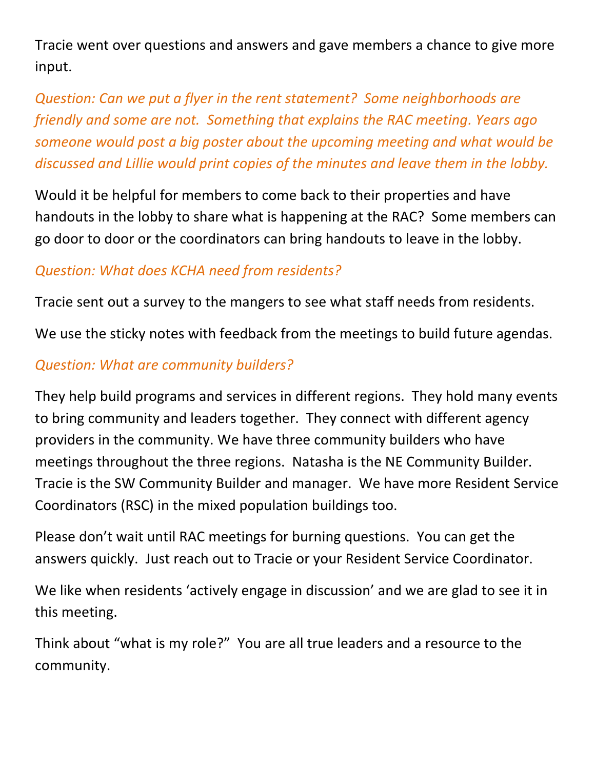Tracie went over questions and answers and gave members a chance to give more input.

*Question: Can we put a flyer in the rent statement? Some neighborhoods are friendly and some are not. Something that explains the RAC meeting. Years ago someone would post a big poster about the upcoming meeting and what would be discussed and Lillie would print copies of the minutes and leave them in the lobby.*

Would it be helpful for members to come back to their properties and have handouts in the lobby to share what is happening at the RAC? Some members can go door to door or the coordinators can bring handouts to leave in the lobby.

## *Question: What does KCHA need from residents?*

Tracie sent out a survey to the mangers to see what staff needs from residents.

We use the sticky notes with feedback from the meetings to build future agendas.

### *Question: What are community builders?*

They help build programs and services in different regions. They hold many events to bring community and leaders together. They connect with different agency providers in the community. We have three community builders who have meetings throughout the three regions. Natasha is the NE Community Builder. Tracie is the SW Community Builder and manager. We have more Resident Service Coordinators (RSC) in the mixed population buildings too.

Please don't wait until RAC meetings for burning questions. You can get the answers quickly. Just reach out to Tracie or your Resident Service Coordinator.

We like when residents 'actively engage in discussion' and we are glad to see it in this meeting.

Think about "what is my role?" You are all true leaders and a resource to the community.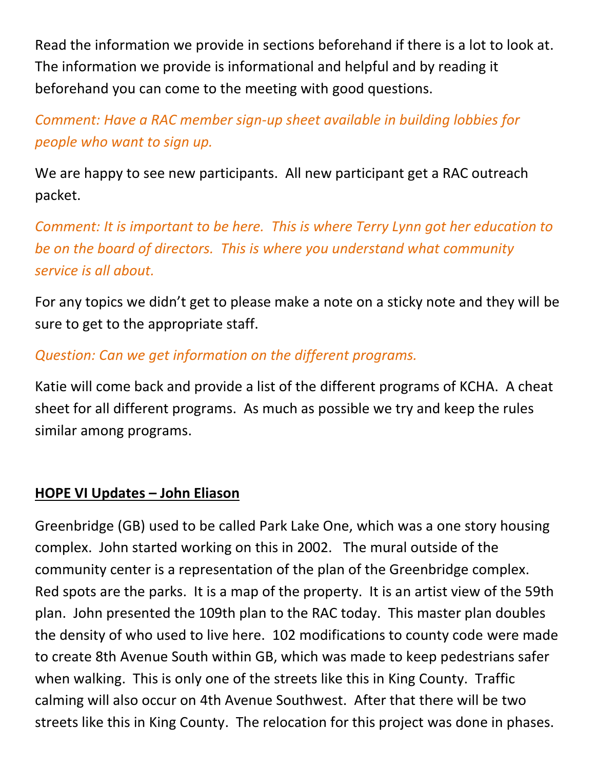Read the information we provide in sections beforehand if there is a lot to look at. The information we provide is informational and helpful and by reading it beforehand you can come to the meeting with good questions.

# *Comment: Have a RAC member sign-up sheet available in building lobbies for people who want to sign up.*

We are happy to see new participants. All new participant get a RAC outreach packet.

*Comment: It is important to be here. This is where Terry Lynn got her education to be on the board of directors. This is where you understand what community service is all about.* 

For any topics we didn't get to please make a note on a sticky note and they will be sure to get to the appropriate staff.

### *Question: Can we get information on the different programs.*

Katie will come back and provide a list of the different programs of KCHA. A cheat sheet for all different programs. As much as possible we try and keep the rules similar among programs.

### **HOPE VI Updates – John Eliason**

Greenbridge (GB) used to be called Park Lake One, which was a one story housing complex. John started working on this in 2002. The mural outside of the community center is a representation of the plan of the Greenbridge complex. Red spots are the parks. It is a map of the property. It is an artist view of the 59th plan. John presented the 109th plan to the RAC today. This master plan doubles the density of who used to live here. 102 modifications to county code were made to create 8th Avenue South within GB, which was made to keep pedestrians safer when walking. This is only one of the streets like this in King County. Traffic calming will also occur on 4th Avenue Southwest. After that there will be two streets like this in King County. The relocation for this project was done in phases.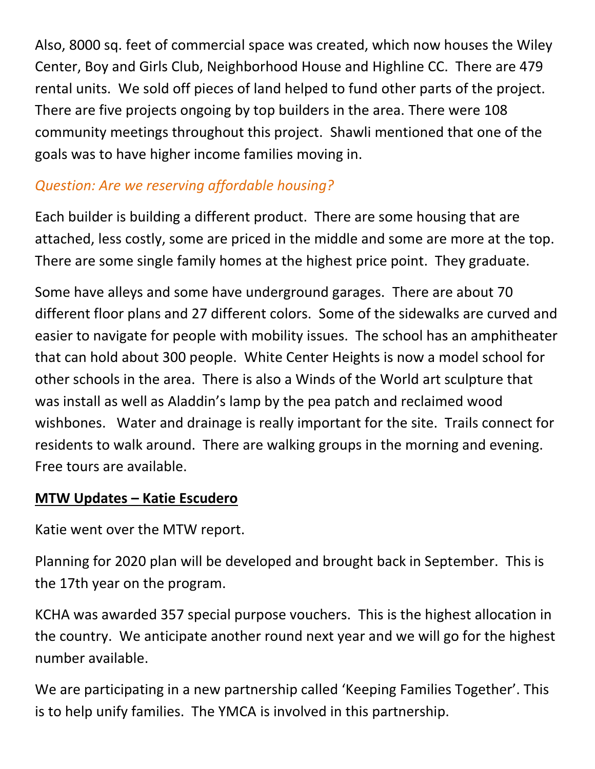Also, 8000 sq. feet of commercial space was created, which now houses the Wiley Center, Boy and Girls Club, Neighborhood House and Highline CC. There are 479 rental units. We sold off pieces of land helped to fund other parts of the project. There are five projects ongoing by top builders in the area. There were 108 community meetings throughout this project. Shawli mentioned that one of the goals was to have higher income families moving in.

## *Question: Are we reserving affordable housing?*

Each builder is building a different product. There are some housing that are attached, less costly, some are priced in the middle and some are more at the top. There are some single family homes at the highest price point. They graduate.

Some have alleys and some have underground garages. There are about 70 different floor plans and 27 different colors. Some of the sidewalks are curved and easier to navigate for people with mobility issues. The school has an amphitheater that can hold about 300 people. White Center Heights is now a model school for other schools in the area. There is also a Winds of the World art sculpture that was install as well as Aladdin's lamp by the pea patch and reclaimed wood wishbones. Water and drainage is really important for the site. Trails connect for residents to walk around. There are walking groups in the morning and evening. Free tours are available.

### **MTW Updates – Katie Escudero**

Katie went over the MTW report.

Planning for 2020 plan will be developed and brought back in September. This is the 17th year on the program.

KCHA was awarded 357 special purpose vouchers. This is the highest allocation in the country. We anticipate another round next year and we will go for the highest number available.

We are participating in a new partnership called 'Keeping Families Together'. This is to help unify families. The YMCA is involved in this partnership.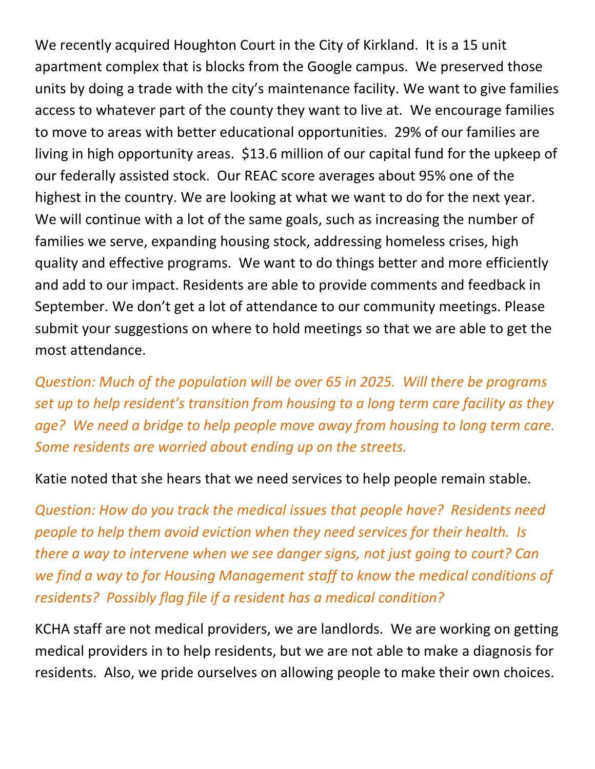We recently acquired Houghton Court in the City of Kirkland. It is a 15 unit apartment complex that is blocks from the Google campus. We preserved those units by doing a trade with the city's maintenance facility. We want to give families access to whatever part of the county they want to live at. We encourage families to move to areas with better educational opportunities. 29% of our families are living in high opportunity areas. \$13.6 million of our capital fund for the upkeep of our federally assisted stock. Our REAC score averages about 95% one of the highest in the country. We are looking at what we want to do for the next year. We will continue with a lot of the same goals, such as increasing the number of families we serve, expanding housing stock, addressing homeless crises, high quality and effective programs. We want to do things better and more efficiently and add to our impact. Residents are able to provide comments and feedback in September. We don't get a lot of attendance to our community meetings. Please submit your suggestions on where to hold meetings so that we are able to get the most attendance.

*Question: Much of the population will be over 65 in 2025. Will there be programs set up to help resident's transition from housing to a long term care facility as they age? We need a bridge to help people move away from housing to long term care. Some residents are worried about ending up on the streets.* 

Katie noted that she hears that we need services to help people remain stable.

*Question: How do you track the medical issues that people have? Residents need people to help them avoid eviction when they need services for their health. Is there a way to intervene when we see danger signs, not just going to court? Can we find a way to for Housing Management staff to know the medical conditions of residents? Possibly flag file if a resident has a medical condition?*

KCHA staff are not medical providers, we are landlords. We are working on getting medical providers in to help residents, but we are not able to make a diagnosis for residents. Also, we pride ourselves on allowing people to make their own choices.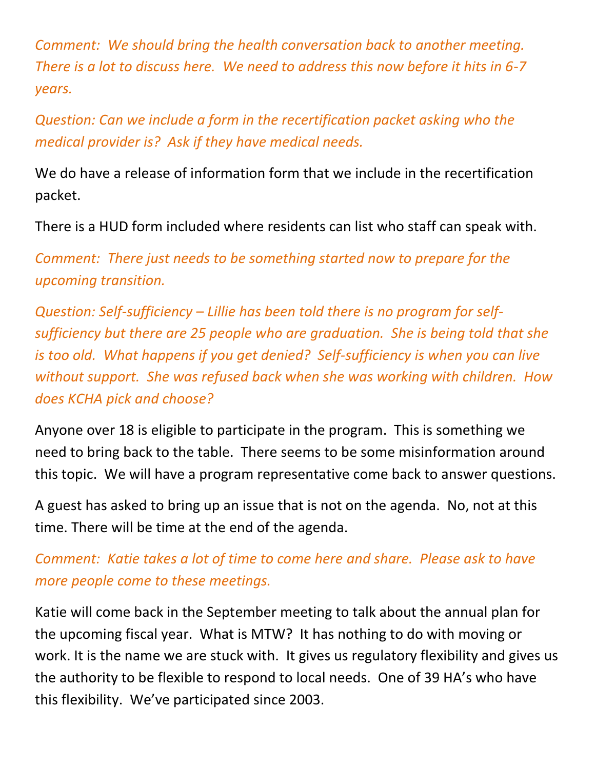*Comment: We should bring the health conversation back to another meeting. There is a lot to discuss here. We need to address this now before it hits in 6-7 years.* 

*Question: Can we include a form in the recertification packet asking who the medical provider is? Ask if they have medical needs.* 

We do have a release of information form that we include in the recertification packet.

There is a HUD form included where residents can list who staff can speak with.

*Comment: There just needs to be something started now to prepare for the upcoming transition.* 

*Question: Self-sufficiency – Lillie has been told there is no program for selfsufficiency but there are 25 people who are graduation. She is being told that she is too old. What happens if you get denied? Self-sufficiency is when you can live without support. She was refused back when she was working with children. How does KCHA pick and choose?*

Anyone over 18 is eligible to participate in the program. This is something we need to bring back to the table. There seems to be some misinformation around this topic. We will have a program representative come back to answer questions.

A guest has asked to bring up an issue that is not on the agenda. No, not at this time. There will be time at the end of the agenda.

*Comment: Katie takes a lot of time to come here and share. Please ask to have more people come to these meetings.* 

Katie will come back in the September meeting to talk about the annual plan for the upcoming fiscal year. What is MTW? It has nothing to do with moving or work. It is the name we are stuck with. It gives us regulatory flexibility and gives us the authority to be flexible to respond to local needs. One of 39 HA's who have this flexibility. We've participated since 2003.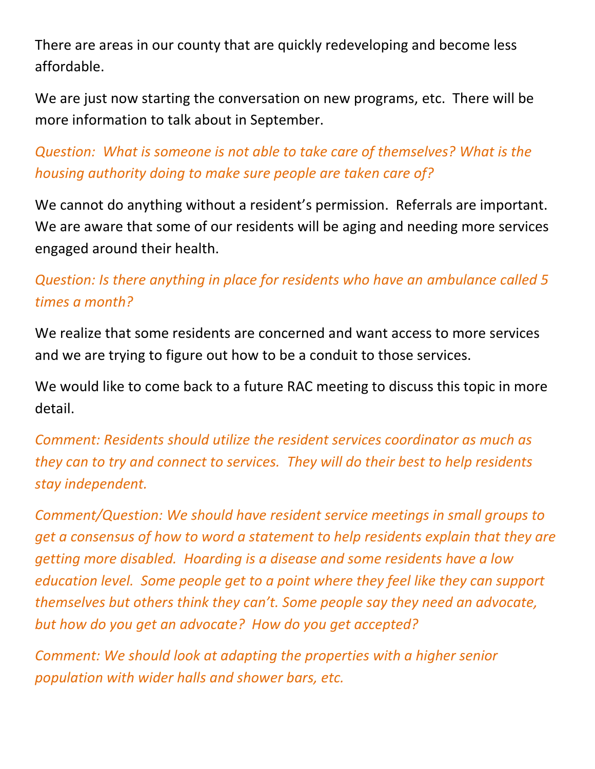There are areas in our county that are quickly redeveloping and become less affordable.

We are just now starting the conversation on new programs, etc. There will be more information to talk about in September.

*Question: What is someone is not able to take care of themselves? What is the housing authority doing to make sure people are taken care of?* 

We cannot do anything without a resident's permission. Referrals are important. We are aware that some of our residents will be aging and needing more services engaged around their health.

# *Question: Is there anything in place for residents who have an ambulance called 5 times a month?*

We realize that some residents are concerned and want access to more services and we are trying to figure out how to be a conduit to those services.

We would like to come back to a future RAC meeting to discuss this topic in more detail.

*Comment: Residents should utilize the resident services coordinator as much as they can to try and connect to services. They will do their best to help residents stay independent.* 

*Comment/Question: We should have resident service meetings in small groups to get a consensus of how to word a statement to help residents explain that they are getting more disabled. Hoarding is a disease and some residents have a low education level. Some people get to a point where they feel like they can support themselves but others think they can't. Some people say they need an advocate, but how do you get an advocate? How do you get accepted?*

*Comment: We should look at adapting the properties with a higher senior population with wider halls and shower bars, etc.*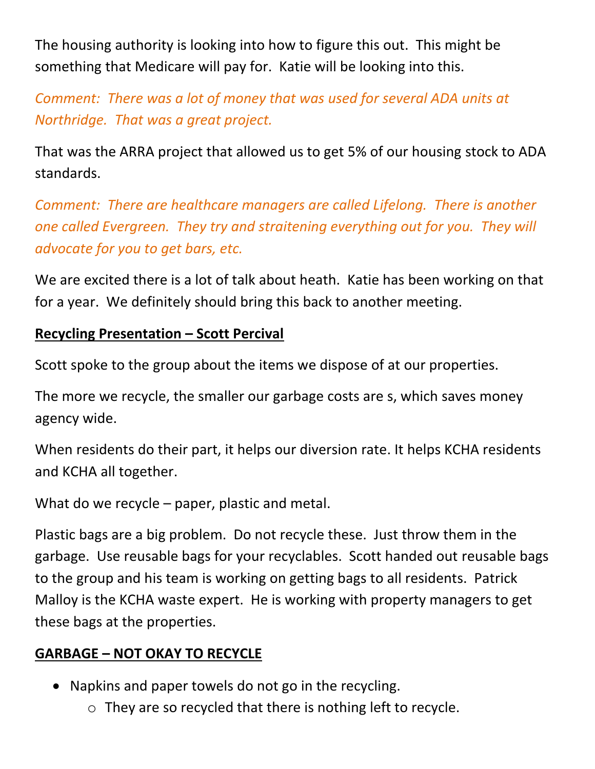The housing authority is looking into how to figure this out. This might be something that Medicare will pay for. Katie will be looking into this.

*Comment: There was a lot of money that was used for several ADA units at Northridge. That was a great project.* 

That was the ARRA project that allowed us to get 5% of our housing stock to ADA standards.

*Comment: There are healthcare managers are called Lifelong. There is another one called Evergreen. They try and straitening everything out for you. They will advocate for you to get bars, etc.* 

We are excited there is a lot of talk about heath. Katie has been working on that for a year. We definitely should bring this back to another meeting.

## **Recycling Presentation – Scott Percival**

Scott spoke to the group about the items we dispose of at our properties.

The more we recycle, the smaller our garbage costs are s, which saves money agency wide.

When residents do their part, it helps our diversion rate. It helps KCHA residents and KCHA all together.

What do we recycle – paper, plastic and metal.

Plastic bags are a big problem. Do not recycle these. Just throw them in the garbage. Use reusable bags for your recyclables. Scott handed out reusable bags to the group and his team is working on getting bags to all residents. Patrick Malloy is the KCHA waste expert. He is working with property managers to get these bags at the properties.

# **GARBAGE – NOT OKAY TO RECYCLE**

- Napkins and paper towels do not go in the recycling.
	- o They are so recycled that there is nothing left to recycle.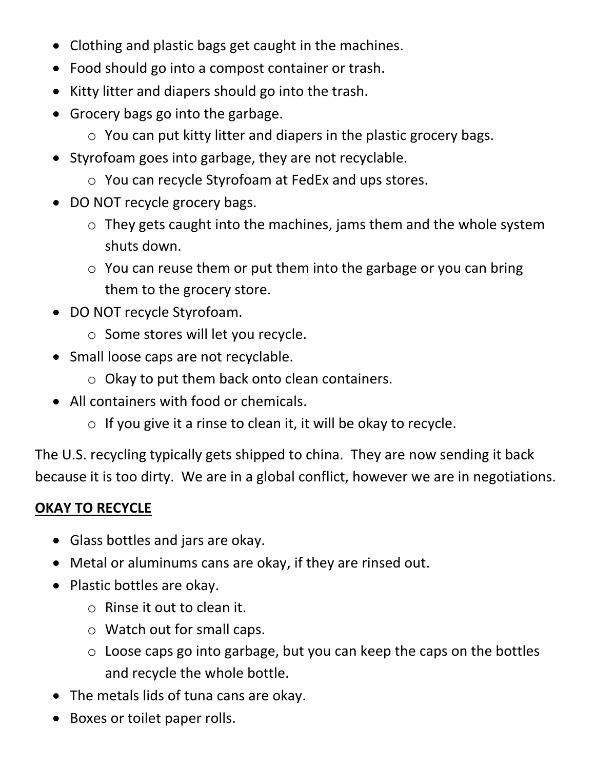- Clothing and plastic bags get caught in the machines.
- Food should go into a compost container or trash.
- Kitty litter and diapers should go into the trash.
- Grocery bags go into the garbage.
	- $\circ$  You can put kitty litter and diapers in the plastic grocery bags.
- Styrofoam goes into garbage, they are not recyclable.
	- o You can recycle Styrofoam at FedEx and ups stores.
- DO NOT recycle grocery bags.
	- $\circ$  They gets caught into the machines, jams them and the whole system shuts down.
	- $\circ$  You can reuse them or put them into the garbage or you can bring them to the grocery store.
- DO NOT recycle Styrofoam.
	- o Some stores will let you recycle.
- Small loose caps are not recyclable.
	- o Okay to put them back onto clean containers.
- All containers with food or chemicals.
	- $\circ$  If you give it a rinse to clean it, it will be okay to recycle.

The U.S. recycling typically gets shipped to china. They are now sending it back because it is too dirty. We are in a global conflict, however we are in negotiations.

## **OKAY TO RECYCLE**

- Glass bottles and jars are okay.
- Metal or aluminums cans are okay, if they are rinsed out.
- Plastic bottles are okay.
	- $\circ$  Rinse it out to clean it.
	- o Watch out for small caps.
	- $\circ$  Loose caps go into garbage, but you can keep the caps on the bottles and recycle the whole bottle.
- The metals lids of tuna cans are okay.
- Boxes or toilet paper rolls.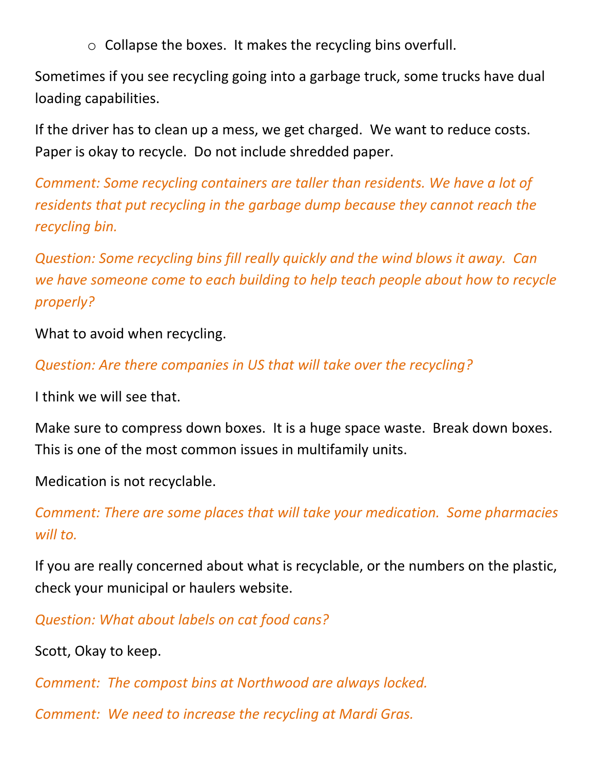o Collapse the boxes. It makes the recycling bins overfull.

Sometimes if you see recycling going into a garbage truck, some trucks have dual loading capabilities.

If the driver has to clean up a mess, we get charged. We want to reduce costs. Paper is okay to recycle. Do not include shredded paper.

*Comment: Some recycling containers are taller than residents. We have a lot of residents that put recycling in the garbage dump because they cannot reach the recycling bin.*

*Question: Some recycling bins fill really quickly and the wind blows it away. Can we have someone come to each building to help teach people about how to recycle properly?*

What to avoid when recycling.

*Question: Are there companies in US that will take over the recycling?*

I think we will see that.

Make sure to compress down boxes. It is a huge space waste. Break down boxes. This is one of the most common issues in multifamily units.

Medication is not recyclable.

*Comment: There are some places that will take your medication. Some pharmacies will to.* 

If you are really concerned about what is recyclable, or the numbers on the plastic, check your municipal or haulers website.

*Question: What about labels on cat food cans?*

Scott, Okay to keep.

*Comment: The compost bins at Northwood are always locked.*

*Comment: We need to increase the recycling at Mardi Gras.*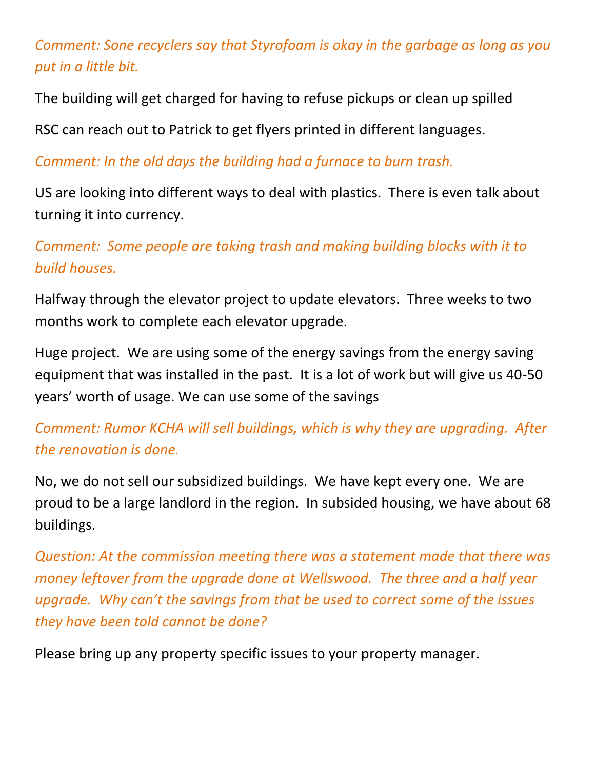# *Comment: Sone recyclers say that Styrofoam is okay in the garbage as long as you put in a little bit.*

The building will get charged for having to refuse pickups or clean up spilled

RSC can reach out to Patrick to get flyers printed in different languages.

## *Comment: In the old days the building had a furnace to burn trash.*

US are looking into different ways to deal with plastics. There is even talk about turning it into currency.

*Comment: Some people are taking trash and making building blocks with it to build houses.*

Halfway through the elevator project to update elevators. Three weeks to two months work to complete each elevator upgrade.

Huge project. We are using some of the energy savings from the energy saving equipment that was installed in the past. It is a lot of work but will give us 40-50 years' worth of usage. We can use some of the savings

# *Comment: Rumor KCHA will sell buildings, which is why they are upgrading. After the renovation is done.*

No, we do not sell our subsidized buildings. We have kept every one. We are proud to be a large landlord in the region. In subsided housing, we have about 68 buildings.

*Question: At the commission meeting there was a statement made that there was money leftover from the upgrade done at Wellswood. The three and a half year upgrade. Why can't the savings from that be used to correct some of the issues they have been told cannot be done?*

Please bring up any property specific issues to your property manager.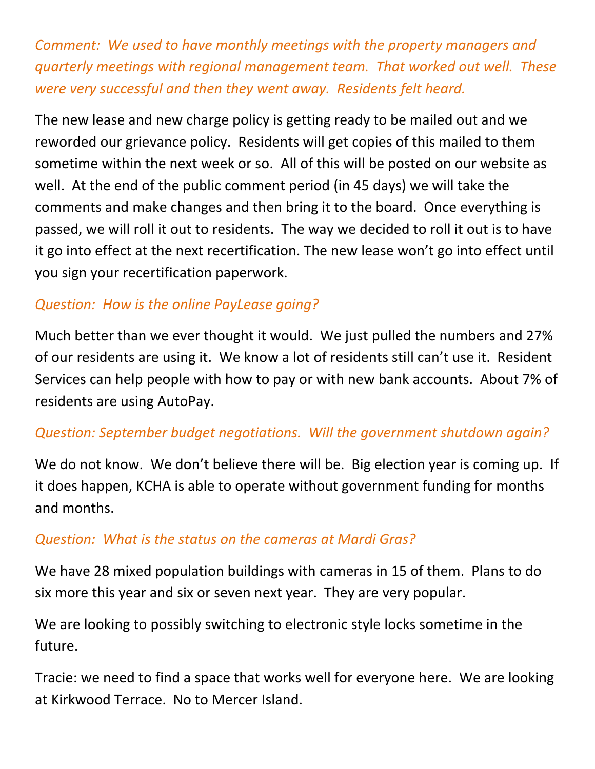*Comment: We used to have monthly meetings with the property managers and quarterly meetings with regional management team. That worked out well. These were very successful and then they went away. Residents felt heard.*

The new lease and new charge policy is getting ready to be mailed out and we reworded our grievance policy. Residents will get copies of this mailed to them sometime within the next week or so. All of this will be posted on our website as well. At the end of the public comment period (in 45 days) we will take the comments and make changes and then bring it to the board. Once everything is passed, we will roll it out to residents. The way we decided to roll it out is to have it go into effect at the next recertification. The new lease won't go into effect until you sign your recertification paperwork.

#### *Question: How is the online PayLease going?*

Much better than we ever thought it would. We just pulled the numbers and 27% of our residents are using it. We know a lot of residents still can't use it. Resident Services can help people with how to pay or with new bank accounts. About 7% of residents are using AutoPay.

#### *Question: September budget negotiations. Will the government shutdown again?*

We do not know. We don't believe there will be. Big election year is coming up. If it does happen, KCHA is able to operate without government funding for months and months.

#### *Question: What is the status on the cameras at Mardi Gras?*

We have 28 mixed population buildings with cameras in 15 of them. Plans to do six more this year and six or seven next year. They are very popular.

We are looking to possibly switching to electronic style locks sometime in the future.

Tracie: we need to find a space that works well for everyone here. We are looking at Kirkwood Terrace. No to Mercer Island.